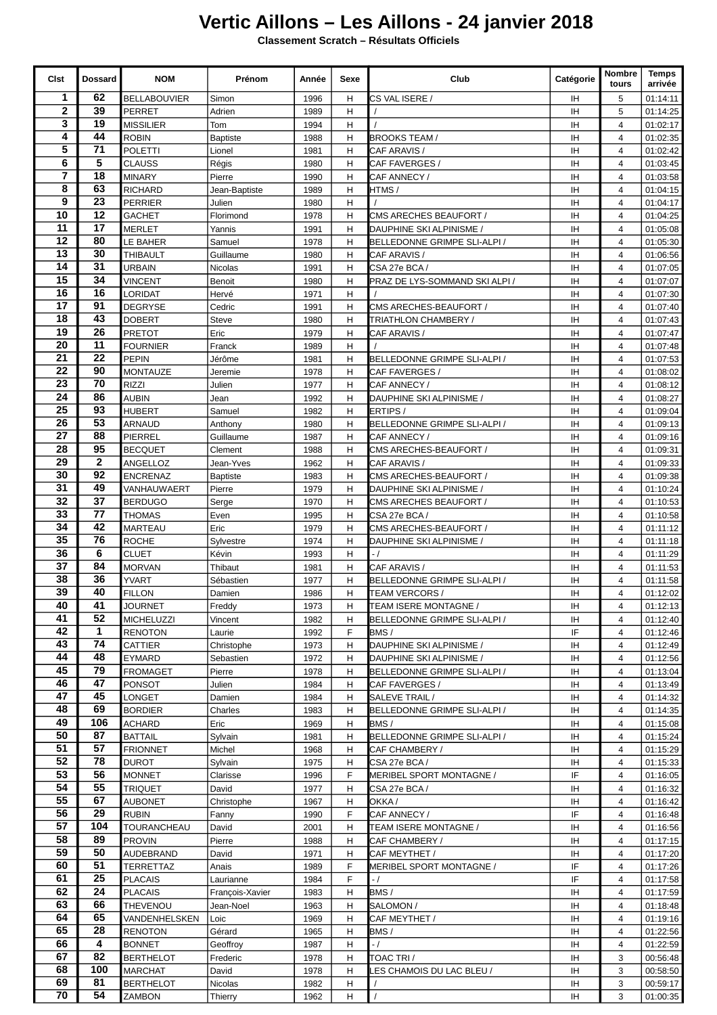## **Vertic Aillons – Les Aillons - 24 janvier 2018**

**Classement Scratch – Résultats Officiels**

| Cist            | <b>Dossard</b>        | <b>NOM</b>                         | Prénom                    | Année        | Sexe   | Club                                    | Catégorie                               | Nombre<br>tours                  | <b>Temps</b><br>arrivée |
|-----------------|-----------------------|------------------------------------|---------------------------|--------------|--------|-----------------------------------------|-----------------------------------------|----------------------------------|-------------------------|
| 1               | 62                    | <b>BELLABOUVIER</b>                | Simon                     | 1996         | н      | CS VAL ISERE /                          | IH                                      | 5                                | 01:14:11                |
| $\mathbf{2}$    | 39                    | <b>PERRET</b>                      | Adrien                    | 1989         | Н      |                                         | ΙH                                      | 5                                | 01:14:25                |
| 3<br>4          | 19<br>44              | MISSILIER                          | Tom                       | 1994<br>1988 | н<br>Н |                                         | IH<br>IH                                | $\overline{4}$<br>$\overline{4}$ | 01:02:17                |
| 5               | 71                    | <b>ROBIN</b><br><b>POLETTI</b>     | <b>Baptiste</b><br>Lionel | 1981         | н      | BROOKS TEAM /<br>CAF ARAVIS /           | IH                                      | $\overline{4}$                   | 01:02:35<br>01:02:42    |
| 6               | 5                     | <b>CLAUSS</b>                      | Régis                     | 1980         | Η      | CAF FAVERGES /                          | ΙH                                      | $\overline{4}$                   | 01:03:45                |
| $\overline{7}$  | 18                    | <b>MINARY</b>                      | Pierre                    | 1990         | Н      | CAF ANNECY /                            | IH                                      | $\overline{4}$                   | 01:03:58                |
| 8               | 63                    | <b>RICHARD</b>                     | Jean-Baptiste             | 1989         | н      | HTMS /                                  | IH                                      | 4                                | 01:04:15                |
| 9               | 23                    | PERRIER                            | Julien                    | 1980         | H      |                                         | IH                                      | $\overline{4}$                   | 01:04:17                |
| 10              | 12                    | <b>GACHET</b>                      | Florimond                 | 1978         | Н      | CMS ARECHES BEAUFORT /                  | IH                                      | $\overline{4}$                   | 01:04:25                |
| 11              | 17                    | <b>MERLET</b>                      | Yannis                    | 1991         | H      | DAUPHINE SKI ALPINISME /                | IH                                      | $\overline{4}$                   | 01:05:08                |
| 12              | 80                    | LE BAHER                           | Samuel                    | 1978         | Н      | BELLEDONNE GRIMPE SLI-ALPI /            | IH                                      | $\overline{4}$                   | 01:05:30                |
| 13<br>14        | 30<br>$\overline{31}$ | THIBAULT                           | Guillaume                 | 1980         | н      | CAF ARAVIS /                            | IH                                      | $\overline{4}$                   | 01:06:56                |
| 15              | 34                    | URBAIN                             | Nicolas                   | 1991         | H      | CSA 27e BCA /                           | IH                                      | $\overline{4}$                   | 01:07:05                |
| 16              | 16                    | <b>VINCENT</b><br>LORIDAT          | Benoit<br>Hervé           | 1980<br>1971 | н<br>Η | PRAZ DE LYS-SOMMAND SKI ALPI /          | IH<br>IH                                | $\overline{4}$<br>$\overline{4}$ | 01:07:07<br>01:07:30    |
| 17              | 91                    | DEGRYSE                            | Cedric                    | 1991         | н      | CMS ARECHES-BEAUFORT /                  | IH                                      | 4                                | 01:07:40                |
| 18              | 43                    | DOBERT                             | Steve                     | 1980         | н      | TRIATHLON CHAMBERY /                    | IH                                      | $\overline{4}$                   | 01:07:43                |
| 19              | 26                    | <b>PRETOT</b>                      | Eric                      | 1979         | H      | CAF ARAVIS /                            | IH                                      | $\overline{4}$                   | 01:07:47                |
| 20              | 11                    | <b>FOURNIER</b>                    | Franck                    | 1989         | H      |                                         | IH                                      | $\overline{4}$                   | 01:07:48                |
| 21              | 22                    | <b>PEPIN</b>                       | Jérôme                    | 1981         | Η      | BELLEDONNE GRIMPE SLI-ALPI /            | IH                                      | $\overline{4}$                   | 01:07:53                |
| 22              | 90                    | <b>MONTAUZE</b>                    | Jeremie                   | 1978         | н      | CAF FAVERGES /                          | ΙH                                      | $\overline{4}$                   | 01:08:02                |
| $\overline{23}$ | 70                    | <b>RIZZI</b>                       | Julien                    | 1977         | Н      | CAF ANNECY /                            | IH                                      | $\overline{4}$                   | 01:08:12                |
| 24              | 86                    | <b>AUBIN</b>                       | Jean                      | 1992         | H      | DAUPHINE SKI ALPINISME /                | IH                                      | $\overline{4}$                   | 01:08:27                |
| 25              | 93                    | <b>HUBERT</b>                      | Samuel                    | 1982         | H      | ERTIPS/                                 | <b>IH</b>                               | $\overline{4}$                   | 01:09:04                |
| 26<br>27        | 53<br>88              | <b>ARNAUD</b>                      | Anthony                   | 1980         | H      | BELLEDONNE GRIMPE SLI-ALPI /            | IH                                      | $\overline{4}$                   | 01:09:13                |
| 28              | 95                    | PIERREL<br><b>BECQUET</b>          | Guillaume<br>Clement      | 1987<br>1988 | н<br>Н | CAF ANNECY /<br>CMS ARECHES-BEAUFORT /  | IH<br>IH                                | 4<br>$\overline{4}$              | 01:09:16<br>01:09:31    |
| 29              | $\mathbf{2}$          | ANGELLOZ                           | Jean-Yves                 | 1962         | H      | CAF ARAVIS /                            | IH                                      | $\overline{4}$                   | 01:09:33                |
| 30              | 92                    | <b>ENCRENAZ</b>                    | <b>Baptiste</b>           | 1983         | Н      | CMS ARECHES-BEAUFORT /                  | IH                                      | $\overline{4}$                   | 01:09:38                |
| 31              | 49                    | VANHAUWAERT                        | Pierre                    | 1979         | Н      | DAUPHINE SKI ALPINISME /                | IH                                      | $\overline{4}$                   | 01:10:24                |
| 32              | 37                    | <b>BERDUGO</b>                     | Serge                     | 1970         | н      | CMS ARECHES BEAUFORT /                  | IH                                      | $\overline{4}$                   | 01:10:53                |
| 33              | 77                    | <b>THOMAS</b>                      | Even                      | 1995         | Н      | CSA 27e BCA /                           | IH                                      | $\overline{4}$                   | 01:10:58                |
| 34              | 42                    | <b>MARTEAU</b>                     | Eric                      | 1979         | H      | CMS ARECHES-BEAUFORT /                  | IH                                      | $\overline{4}$                   | 01:11:12                |
| 35              | 76                    | <b>ROCHE</b>                       | Sylvestre                 | 1974         | Н      | DAUPHINE SKI ALPINISME /                | <b>IH</b>                               | $\overline{4}$                   | 01:11:18                |
| 36              | 6                     | <b>CLUET</b>                       | Kévin                     | 1993         | Η      | $-1$                                    | IH                                      | $\overline{4}$                   | 01:11:29                |
| 37              | 84<br>36              | <b>MORVAN</b>                      | Thibaut                   | 1981         | Н      | CAF ARAVIS /                            | IH                                      | $\overline{4}$                   | 01:11:53                |
| 38<br>39        | 40                    | <b>YVART</b><br><b>FILLON</b>      | Sébastien                 | 1977         | H      | BELLEDONNE GRIMPE SLI-ALPI /            | IH                                      | $\overline{4}$<br>$\overline{4}$ | 01:11:58                |
| 40              | 41                    | <b>JOURNET</b>                     | Damien<br>Freddy          | 1986<br>1973 | Н<br>H | TEAM VERCORS /<br>TEAM ISERE MONTAGNE / | IH<br>$\ensuremath{\mathsf{IH}}\xspace$ | $\overline{4}$                   | 01:12:02<br>01:12:13    |
| 41              | 52                    | <b>MICHELUZZI</b>                  | Vincent                   | 1982         | н      | BELLEDONNE GRIMPE SLI-ALPI /            | IH                                      | 4                                | 01:12:40                |
| 42              | 1                     | RENOTON                            | Laurie                    | 1992         | F      | BMS/                                    | IF.                                     | 4                                | 01:12:46                |
| 43              | 74                    | CATTIER                            | Christophe                | 1973         | Н      | DAUPHINE SKI ALPINISME /                | IH                                      | 4                                | 01:12:49                |
| 44              | 48                    | EYMARD                             | Sebastien                 | 1972         | H      | DAUPHINE SKI ALPINISME /                | IH                                      | 4                                | 01:12:56                |
| 45              | 79                    | <b>FROMAGET</b>                    | Pierre                    | 1978         | H      | BELLEDONNE GRIMPE SLI-ALPI /            | IH                                      | $\overline{4}$                   | 01:13:04                |
| 46              | 47                    | PONSOT                             | Julien                    | 1984         | н      | CAF FAVERGES /                          | IH                                      | 4                                | 01:13:49                |
| 47              | 45                    | LONGET                             | Damien                    | 1984         | н      | SALEVE TRAIL /                          | IH                                      | 4                                | 01:14:32                |
| 48<br>49        | 69<br>106             | BORDIER                            | Charles                   | 1983         | H      | BELLEDONNE GRIMPE SLI-ALPI /            | IH                                      | 4                                | 01:14:35                |
| 50              | 87                    | <b>ACHARD</b><br><b>BATTAIL</b>    | Eric<br>Sylvain           | 1969<br>1981 | H<br>H | BMS/<br>BELLEDONNE GRIMPE SLI-ALPI /    | IH<br>IH.                               | 4<br>$\overline{4}$              | 01:15:08<br>01:15:24    |
| 51              | 57                    | <b>FRIONNET</b>                    | Michel                    | 1968         | н      | CAF CHAMBERY /                          | IH                                      | $\overline{4}$                   | 01:15:29                |
| 52              | 78                    | <b>DUROT</b>                       | Sylvain                   | 1975         | н      | CSA 27e BCA /                           | IH                                      | 4                                | 01:15:33                |
| 53              | 56                    | <b>MONNET</b>                      | Clarisse                  | 1996         | F      | MERIBEL SPORT MONTAGNE /                | IF                                      | 4                                | 01:16:05                |
| 54              | 55                    | <b>TRIQUET</b>                     | David                     | 1977         | н      | CSA 27e BCA /                           | IH                                      | 4                                | 01:16:32                |
| 55              | 67                    | <b>AUBONET</b>                     | Christophe                | 1967         | H      | OKKA/                                   | IH.                                     | $\overline{4}$                   | 01:16:42                |
| 56              | 29                    | RUBIN                              | Fanny                     | 1990         | F      | CAF ANNECY /                            | IF                                      | 4                                | 01:16:48                |
| 57<br>58        | 104<br>89             | TOURANCHEAU                        | David                     | 2001         | н      | TEAM ISERE MONTAGNE /                   | IH                                      | 4                                | 01:16:56                |
| 59              | 50                    | <b>PROVIN</b><br>AUDEBRAND         | Pierre<br>David           | 1988<br>1971 | H<br>н | CAF CHAMBERY /<br>CAF MEYTHET /         | IH<br>IH                                | 4<br>4                           | 01:17:15<br>01:17:20    |
| 60              | 51                    | TERRETTAZ                          | Anais                     | 1989         | F      | MERIBEL SPORT MONTAGNE /                | IF                                      | $\overline{4}$                   | 01:17:26                |
| 61              | 25                    | <b>PLACAIS</b>                     | Laurianne                 | 1984         | F      | $-1$                                    | IF.                                     | $\overline{4}$                   | 01:17:58                |
| 62              | 24                    | PLACAIS                            | François-Xavier           | 1983         | H      | BMS/                                    | IH                                      | 4                                | 01:17:59                |
| 63              | 66                    | THEVENOU                           | Jean-Noel                 | 1963         | Н      | SALOMON /                               | IH                                      | 4                                | 01:18:48                |
| 64              | 65                    | VANDENHELSKEN                      | Loic                      | 1969         | H      | CAF MEYTHET /                           | IH                                      | 4                                | 01:19:16                |
| 65              | 28                    | <b>RENOTON</b>                     | Gérard                    | 1965         | H      | BMS/                                    | IH                                      | $\overline{4}$                   | 01:22:56                |
| 66              | 4                     | <b>BONNET</b>                      | Geoffroy                  | 1987         | н      | $-1$                                    | IH                                      | 4                                | 01:22:59                |
| 67              | 82                    | <b>BERTHELOT</b>                   | Frederic                  | 1978         | H      | TOAC TRI /                              | IH                                      | 3                                | 00:56:48                |
| 68<br>69        | 100<br>81             | <b>MARCHAT</b><br><b>BERTHELOT</b> | David<br>Nicolas          | 1978<br>1982 | H      | ES CHAMOIS DU LAC BLEU /                | IH                                      | 3<br>3                           | 00:58:50<br>00:59:17    |
| 70              | 54                    | ZAMBON                             | Thierry                   | 1962         | H<br>H |                                         | IH<br>IH                                | 3                                | 01:00:35                |
|                 |                       |                                    |                           |              |        |                                         |                                         |                                  |                         |